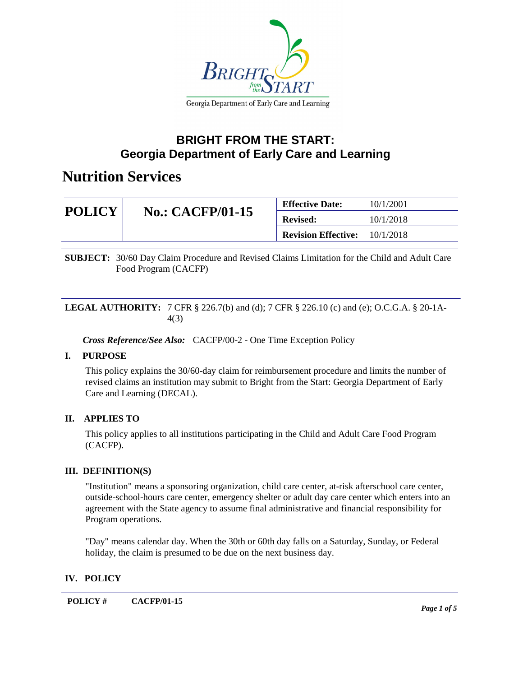

### **BRIGHT FROM THE START: Georgia Department of Early Care and Learning**

### **Nutrition Services**

| <b>POLICY</b> | <b>No.: CACFP/01-15</b> | <b>Effective Date:</b>     | 10/1/2001 |
|---------------|-------------------------|----------------------------|-----------|
|               |                         | <b>Revised:</b>            | 10/1/2018 |
|               |                         | <b>Revision Effective:</b> | 10/1/2018 |

**SUBJECT:** 30/60 Day Claim Procedure and Revised Claims Limitation for the Child and Adult Care Food Program (CACFP)

#### **LEGAL AUTHORITY:** 7 CFR § 226.7(b) and (d); 7 CFR § 226.10 (c) and (e); O.C.G.A. § 20-1A-4(3)

*Cross Reference/See Also:* CACFP/00-2 - One Time Exception Policy

### **I. PURPOSE**

This policy explains the 30/60-day claim for reimbursement procedure and limits the number of revised claims an institution may submit to Bright from the Start: Georgia Department of Early Care and Learning (DECAL).

### **II. APPLIES TO**

This policy applies to all institutions participating in the Child and Adult Care Food Program (CACFP).

#### **III. DEFINITION(S)**

"Institution" means a sponsoring organization, child care center, at-risk afterschool care center, outside-school-hours care center, emergency shelter or adult day care center which enters into an agreement with the State agency to assume final administrative and financial responsibility for Program operations.

"Day" means calendar day. When the 30th or 60th day falls on a Saturday, Sunday, or Federal holiday, the claim is presumed to be due on the next business day.

### **IV. POLICY**

**POLICY # CACFP/01-15**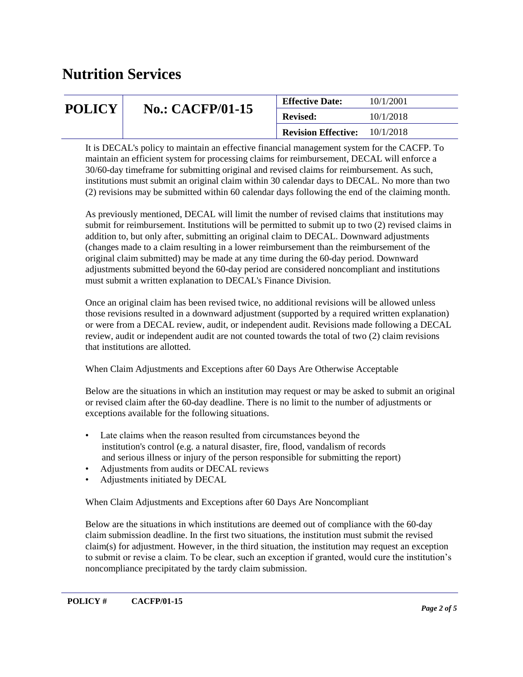| <b>POLICY</b> | <b>No.: CACFP/01-15</b> | <b>Effective Date:</b>     | 10/1/2001 |
|---------------|-------------------------|----------------------------|-----------|
|               |                         | <b>Revised:</b>            | 10/1/2018 |
|               |                         | <b>Revision Effective:</b> | 10/1/2018 |

It is DECAL's policy to maintain an effective financial management system for the CACFP. To maintain an efficient system for processing claims for reimbursement, DECAL will enforce a 30/60-day timeframe for submitting original and revised claims for reimbursement. As such, institutions must submit an original claim within 30 calendar days to DECAL. No more than two (2) revisions may be submitted within 60 calendar days following the end of the claiming month.

As previously mentioned, DECAL will limit the number of revised claims that institutions may submit for reimbursement. Institutions will be permitted to submit up to two (2) revised claims in addition to, but only after, submitting an original claim to DECAL. Downward adjustments (changes made to a claim resulting in a lower reimbursement than the reimbursement of the original claim submitted) may be made at any time during the 60-day period. Downward adjustments submitted beyond the 60-day period are considered noncompliant and institutions must submit a written explanation to DECAL's Finance Division.

Once an original claim has been revised twice, no additional revisions will be allowed unless those revisions resulted in a downward adjustment (supported by a required written explanation) or were from a DECAL review, audit, or independent audit. Revisions made following a DECAL review, audit or independent audit are not counted towards the total of two (2) claim revisions that institutions are allotted.

When Claim Adjustments and Exceptions after 60 Days Are Otherwise Acceptable

Below are the situations in which an institution may request or may be asked to submit an original or revised claim after the 60-day deadline. There is no limit to the number of adjustments or exceptions available for the following situations.

- Late claims when the reason resulted from circumstances beyond the institution's control (e.g. a natural disaster, fire, flood, vandalism of records and serious illness or injury of the person responsible for submitting the report)
- Adjustments from audits or DECAL reviews
- Adjustments initiated by DECAL

When Claim Adjustments and Exceptions after 60 Days Are Noncompliant

Below are the situations in which institutions are deemed out of compliance with the 60-day claim submission deadline. In the first two situations, the institution must submit the revised claim(s) for adjustment. However, in the third situation, the institution may request an exception to submit or revise a claim. To be clear, such an exception if granted, would cure the institution's noncompliance precipitated by the tardy claim submission.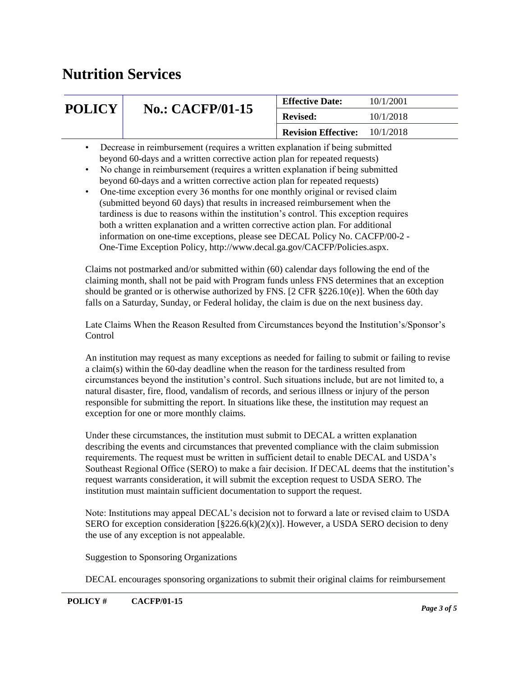| <b>POLICY</b> | <b>No.: CACFP/01-15</b>                                                      | <b>Effective Date:</b>               | 10/1/2001 |
|---------------|------------------------------------------------------------------------------|--------------------------------------|-----------|
|               |                                                                              | <b>Revised:</b>                      | 10/1/2018 |
|               |                                                                              | <b>Revision Effective:</b> 10/1/2018 |           |
| $\bullet$     | Decrease in reimbursement (requires a written explanation if being submitted |                                      |           |

- beyond 60-days and a written corrective action plan for repeated requests) • No change in reimbursement (requires a written explanation if being submitted
	- beyond 60-days and a written corrective action plan for repeated requests)
- One-time exception every 36 months for one monthly original or revised claim (submitted beyond 60 days) that results in increased reimbursement when the tardiness is due to reasons within the institution's control. This exception requires both a written explanation and a written corrective action plan. For additional information on one-time exceptions, please see DECAL Policy No. CACFP/00-2 - One-Time Exception Policy, http://www.decal.ga.gov/CACFP/Policies.aspx.

Claims not postmarked and/or submitted within (60) calendar days following the end of the claiming month, shall not be paid with Program funds unless FNS determines that an exception should be granted or is otherwise authorized by FNS.  $[2 \text{ CFR } \frac{226.10(e)}{e}]$ . When the 60th day falls on a Saturday, Sunday, or Federal holiday, the claim is due on the next business day.

Late Claims When the Reason Resulted from Circumstances beyond the Institution's/Sponsor's Control

An institution may request as many exceptions as needed for failing to submit or failing to revise a claim(s) within the 60-day deadline when the reason for the tardiness resulted from circumstances beyond the institution's control. Such situations include, but are not limited to, a natural disaster, fire, flood, vandalism of records, and serious illness or injury of the person responsible for submitting the report. In situations like these, the institution may request an exception for one or more monthly claims.

Under these circumstances, the institution must submit to DECAL a written explanation describing the events and circumstances that prevented compliance with the claim submission requirements. The request must be written in sufficient detail to enable DECAL and USDA's Southeast Regional Office (SERO) to make a fair decision. If DECAL deems that the institution's request warrants consideration, it will submit the exception request to USDA SERO. The institution must maintain sufficient documentation to support the request.

Note: Institutions may appeal DECAL's decision not to forward a late or revised claim to USDA SERO for exception consideration  $\S226.6(k)(2)(x)$ ]. However, a USDA SERO decision to deny the use of any exception is not appealable.

Suggestion to Sponsoring Organizations

DECAL encourages sponsoring organizations to submit their original claims for reimbursement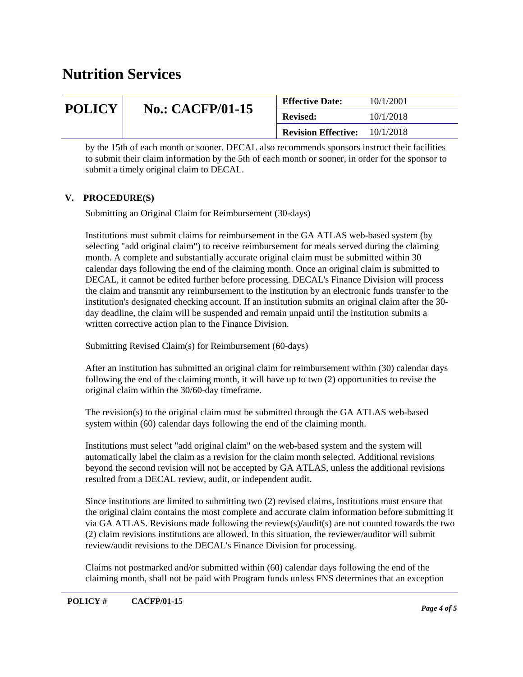| <b>POLICY</b><br><b>No.: CACFP/01-15</b> |  | <b>Effective Date:</b> | 10/1/2001 |
|------------------------------------------|--|------------------------|-----------|
|                                          |  | <b>Revised:</b>        | 10/1/2018 |
| <b>Revision Effective:</b><br>10/1/2018  |  |                        |           |

by the 15th of each month or sooner. DECAL also recommends sponsors instruct their facilities to submit their claim information by the 5th of each month or sooner, in order for the sponsor to submit a timely original claim to DECAL.

#### **V. PROCEDURE(S)**

Submitting an Original Claim for Reimbursement (30-days)

Institutions must submit claims for reimbursement in the GA ATLAS web-based system (by selecting "add original claim") to receive reimbursement for meals served during the claiming month. A complete and substantially accurate original claim must be submitted within 30 calendar days following the end of the claiming month. Once an original claim is submitted to DECAL, it cannot be edited further before processing. DECAL's Finance Division will process the claim and transmit any reimbursement to the institution by an electronic funds transfer to the institution's designated checking account. If an institution submits an original claim after the 30 day deadline, the claim will be suspended and remain unpaid until the institution submits a written corrective action plan to the Finance Division.

Submitting Revised Claim(s) for Reimbursement (60-days)

After an institution has submitted an original claim for reimbursement within (30) calendar days following the end of the claiming month, it will have up to two (2) opportunities to revise the original claim within the 30/60-day timeframe.

The revision(s) to the original claim must be submitted through the GA ATLAS web-based system within (60) calendar days following the end of the claiming month.

Institutions must select "add original claim" on the web-based system and the system will automatically label the claim as a revision for the claim month selected. Additional revisions beyond the second revision will not be accepted by GA ATLAS, unless the additional revisions resulted from a DECAL review, audit, or independent audit.

Since institutions are limited to submitting two (2) revised claims, institutions must ensure that the original claim contains the most complete and accurate claim information before submitting it via GA ATLAS. Revisions made following the review(s)/audit(s) are not counted towards the two (2) claim revisions institutions are allowed. In this situation, the reviewer/auditor will submit review/audit revisions to the DECAL's Finance Division for processing.

Claims not postmarked and/or submitted within (60) calendar days following the end of the claiming month, shall not be paid with Program funds unless FNS determines that an exception